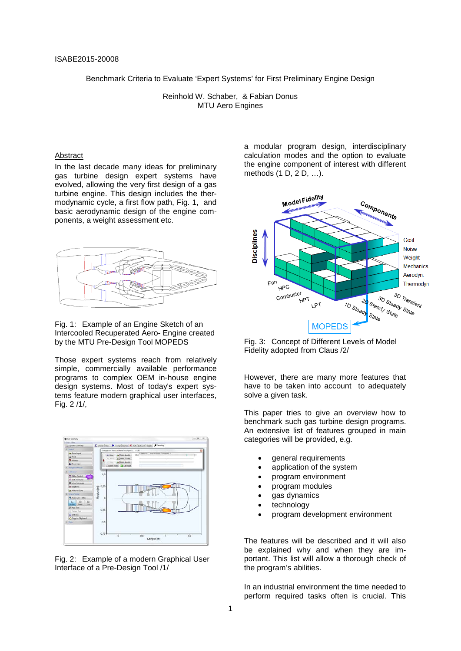Benchmark Criteria to Evaluate 'Expert Systems' for First Preliminary Engine Design

Reinhold W. Schaber, & Fabian Donus MTU Aero Engines

#### Abstract

In the last decade many ideas for preliminary gas turbine design expert systems have evolved, allowing the very first design of a gas turbine engine. This design includes the thermodynamic cycle, a first flow path, Fig. 1, and basic aerodynamic design of the engine components, a weight assessment etc.



#### Fig. 1: Example of an Engine Sketch of an Intercooled Recuperated Aero- Engine created by the MTU Pre-Design Tool MOPEDS

Those expert systems reach from relatively simple, commercially available performance programs to complex OEM in-house engine design systems. Most of today's expert systems feature modern graphical user interfaces, Fig. 2 /1/,



Fig. 2: Example of a modern Graphical User Interface of a Pre-Design Tool /1/

a modular program design, interdisciplinary calculation modes and the option to evaluate the engine component of interest with different methods (1 D, 2 D, …).



Fig. 3: Concept of Different Levels of Model Fidelity adopted from Claus /2/

However, there are many more features that have to be taken into account to adequately solve a given task.

This paper tries to give an overview how to benchmark such gas turbine design programs. An extensive list of features grouped in main categories will be provided, e.g.

- general requirements
- application of the system
- program environment
- program modules
- gas dynamics
- technology
- program development environment

The features will be described and it will also be explained why and when they are important. This list will allow a thorough check of the program's abilities.

In an industrial environment the time needed to perform required tasks often is crucial. This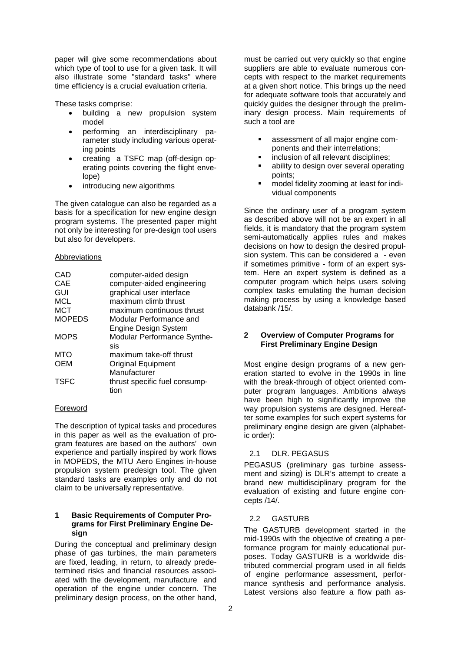paper will give some recommendations about which type of tool to use for a given task. It will also illustrate some "standard tasks" where time efficiency is a crucial evaluation criteria.

These tasks comprise:

- building a new propulsion system model
- performing an interdisciplinary parameter study including various operating points
- creating a TSFC map (off-design operating points covering the flight envelope)
- introducing new algorithms

The given catalogue can also be regarded as a basis for a specification for new engine design program systems. The presented paper might not only be interesting for pre-design tool users but also for developers.

#### Abbreviations

| CAD           | computer-aided design         |
|---------------|-------------------------------|
| CAE           | computer-aided engineering    |
| GUI           | graphical user interface      |
| <b>MCL</b>    | maximum climb thrust          |
| <b>MCT</b>    | maximum continuous thrust     |
| <b>MOPEDS</b> | Modular Performance and       |
|               | <b>Engine Design System</b>   |
| <b>MOPS</b>   | Modular Performance Synthe-   |
|               | sis                           |
| <b>MTO</b>    | maximum take-off thrust       |
| <b>OEM</b>    | <b>Original Equipment</b>     |
|               | Manufacturer                  |
| <b>TSFC</b>   | thrust specific fuel consump- |
|               | tion                          |

## Foreword

The description of typical tasks and procedures in this paper as well as the evaluation of program features are based on the authors' own experience and partially inspired by work flows in MOPEDS, the MTU Aero Engines in-house propulsion system predesign tool. The given standard tasks are examples only and do not claim to be universally representative.

#### **1 Basic Requirements of Computer Programs for First Preliminary Engine Design**

During the conceptual and preliminary design phase of gas turbines, the main parameters are fixed, leading, in return, to already predetermined risks and financial resources associated with the development, manufacture and operation of the engine under concern. The preliminary design process, on the other hand,

must be carried out very quickly so that engine suppliers are able to evaluate numerous concepts with respect to the market requirements at a given short notice. This brings up the need for adequate software tools that accurately and quickly guides the designer through the preliminary design process. Main requirements of such a tool are

- assessment of all major engine components and their interrelations;
- inclusion of all relevant disciplines;
- ability to design over several operating points;
- model fidelity zooming at least for individual components

Since the ordinary user of a program system as described above will not be an expert in all fields, it is mandatory that the program system semi-automatically applies rules and makes decisions on how to design the desired propulsion system. This can be considered a - even if sometimes primitive - form of an expert system. Here an expert system is defined as a computer program which helps users solving complex tasks emulating the human decision making process by using a knowledge based databank /15/.

### **2 Overview of Computer Programs for First Preliminary Engine Design**

Most engine design programs of a new generation started to evolve in the 1990s in line with the break-through of object oriented computer program languages. Ambitions always have been high to significantly improve the way propulsion systems are designed. Hereafter some examples for such expert systems for preliminary engine design are given (alphabetic order):

## 2.1 DLR. PEGASUS

PEGASUS (preliminary gas turbine assessment and sizing) is DLR's attempt to create a brand new multidisciplinary program for the evaluation of existing and future engine concepts /14/.

## 2.2 GASTURB

The GASTURB development started in the mid-1990s with the objective of creating a performance program for mainly educational purposes. Today GASTURB is a worldwide distributed commercial program used in all fields of engine performance assessment, performance synthesis and performance analysis. Latest versions also feature a flow path as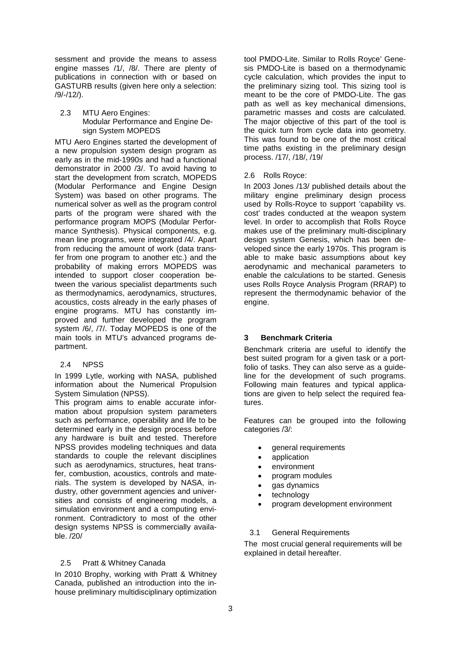sessment and provide the means to assess engine masses /1/, /8/. There are plenty of publications in connection with or based on GASTURB results (given here only a selection: /9/-/12/).

#### 2.3 MTU Aero Engines: Modular Performance and Engine Design System MOPEDS

MTU Aero Engines started the development of a new propulsion system design program as early as in the mid-1990s and had a functional demonstrator in 2000 /3/. To avoid having to start the development from scratch, MOPEDS (Modular Performance and Engine Design System) was based on other programs. The numerical solver as well as the program control parts of the program were shared with the performance program MOPS (Modular Performance Synthesis). Physical components, e.g. mean line programs, were integrated /4/. Apart from reducing the amount of work (data transfer from one program to another etc.) and the probability of making errors MOPEDS was intended to support closer cooperation between the various specialist departments such as thermodynamics, aerodynamics, structures, acoustics, costs already in the early phases of engine programs. MTU has constantly improved and further developed the program system /6/, /7/. Today MOPEDS is one of the main tools in MTU's advanced programs department.

## 2.4 NPSS

In 1999 Lytle, working with NASA, published information about the Numerical Propulsion System Simulation (NPSS).

This program aims to enable accurate information about propulsion system parameters such as performance, operability and life to be determined early in the design process before any hardware is built and tested. Therefore NPSS provides modeling techniques and data standards to couple the relevant disciplines such as aerodynamics, structures, heat transfer, combustion, acoustics, controls and materials. The system is developed by NASA, industry, other government agencies and universities and consists of engineering models, a simulation environment and a computing environment. Contradictory to most of the other design systems NPSS is commercially available. /20/

## 2.5 Pratt & Whitney Canada

In 2010 Brophy, working with Pratt & Whitney Canada, published an introduction into the inhouse preliminary multidisciplinary optimization tool PMDO-Lite. Similar to Rolls Royce' Genesis PMDO-Lite is based on a thermodynamic cycle calculation, which provides the input to the preliminary sizing tool. This sizing tool is meant to be the core of PMDO-Lite. The gas path as well as key mechanical dimensions, parametric masses and costs are calculated. The major objective of this part of the tool is the quick turn from cycle data into geometry. This was found to be one of the most critical time paths existing in the preliminary design process. /17/, /18/, /19/

## 2.6 Rolls Royce:

In 2003 Jones /13/ published details about the military engine preliminary design process used by Rolls-Royce to support 'capability vs. cost' trades conducted at the weapon system level. In order to accomplish that Rolls Royce makes use of the preliminary multi-disciplinary design system Genesis, which has been developed since the early 1970s. This program is able to make basic assumptions about key aerodynamic and mechanical parameters to enable the calculations to be started. Genesis uses Rolls Royce Analysis Program (RRAP) to represent the thermodynamic behavior of the engine.

## **3 Benchmark Criteria**

Benchmark criteria are useful to identify the best suited program for a given task or a portfolio of tasks. They can also serve as a guideline for the development of such programs. Following main features and typical applications are given to help select the required features.

Features can be grouped into the following categories /3/:

- general requirements
- application
- environment
- program modules
- gas dynamics
- technology
- program development environment

## 3.1 General Requirements

The most crucial general requirements will be explained in detail hereafter.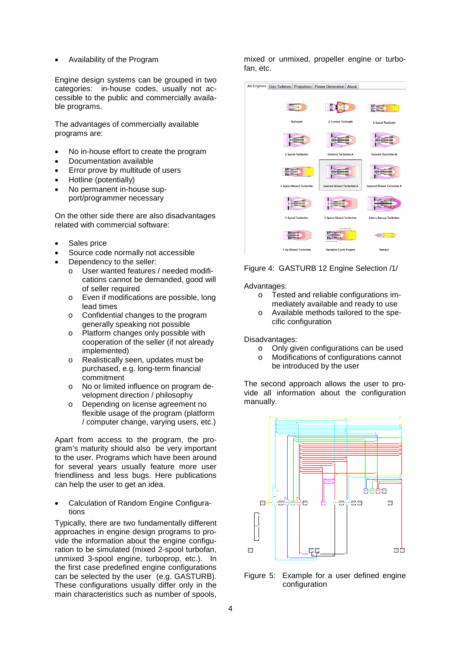• Availability of the Program

Engine design systems can be grouped in two categories: in-house codes, usually not accessible to the public and commercially available programs.

The advantages of commercially available programs are:

- No in-house effort to create the program
- Documentation available
- Error prove by multitude of users
- Hotline (potentially)
- No permanent in-house support/programmer necessary

On the other side there are also disadvantages related with commercial software:

- Sales price
- Source code normally not accessible
- Dependency to the seller:
	- o User wanted features / needed modifications cannot be demanded, good will of seller required
	- o Even if modifications are possible, long lead times
	- o Confidential changes to the program generally speaking not possible
	- o Platform changes only possible with cooperation of the seller (if not already implemented)
	- o Realistically seen, updates must be purchased, e.g. long-term financial commitment
	- o No or limited influence on program development direction / philosophy
	- o Depending on license agreement no flexible usage of the program (platform / computer change, varying users, etc.)

Apart from access to the program, the program's maturity should also be very important to the user. Programs which have been around for several years usually feature more user friendliness and less bugs. Here publications can help the user to get an idea.

• Calculation of Random Engine Configurations

Typically, there are two fundamentally different approaches in engine design programs to provide the information about the engine configuration to be simulated (mixed 2-spool turbofan, unmixed 3-spool engine, turboprop, etc.). In the first case predefined engine configurations can be selected by the user (e.g. GASTURB). These configurations usually differ only in the main characteristics such as number of spools,

mixed or unmixed, propeller engine or turbofan, etc.



### Figure 4: GASTURB 12 Engine Selection /1/

Advantages:

- o Tested and reliable configurations immediately available and ready to use
- o Available methods tailored to the specific configuration

Disadvantages:

- o Only given configurations can be used
- o Modifications of configurations cannot be introduced by the user

The second approach allows the user to provide all information about the configuration manually.



Figure 5: Example for a user defined engine configuration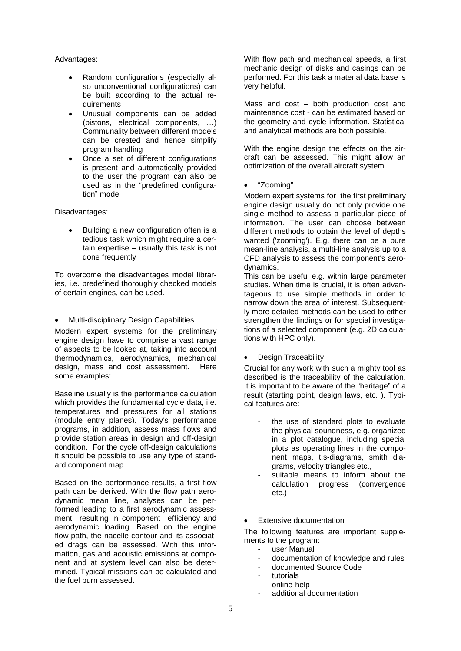### Advantages:

- Random configurations (especially also unconventional configurations) can be built according to the actual requirements
- Unusual components can be added (pistons, electrical components, …) Communality between different models can be created and hence simplify program handling
- Once a set of different configurations is present and automatically provided to the user the program can also be used as in the "predefined configuration" mode

Disadvantages:

• Building a new configuration often is a tedious task which might require a certain expertise – usually this task is not done frequently

To overcome the disadvantages model libraries, i.e. predefined thoroughly checked models of certain engines, can be used.

• Multi-disciplinary Design Capabilities

Modern expert systems for the preliminary engine design have to comprise a vast range of aspects to be looked at, taking into account thermodynamics, aerodynamics, mechanical design, mass and cost assessment. Here some examples:

Baseline usually is the performance calculation which provides the fundamental cycle data, i.e. temperatures and pressures for all stations (module entry planes). Today's performance programs, in addition, assess mass flows and provide station areas in design and off-design condition. For the cycle off-design calculations it should be possible to use any type of standard component map.

Based on the performance results, a first flow path can be derived. With the flow path aerodynamic mean line, analyses can be performed leading to a first aerodynamic assessment resulting in component efficiency and aerodynamic loading. Based on the engine flow path, the nacelle contour and its associated drags can be assessed. With this information, gas and acoustic emissions at component and at system level can also be determined. Typical missions can be calculated and the fuel burn assessed.

With flow path and mechanical speeds, a first mechanic design of disks and casings can be performed. For this task a material data base is very helpful.

Mass and cost – both production cost and maintenance cost - can be estimated based on the geometry and cycle information. Statistical and analytical methods are both possible.

With the engine design the effects on the aircraft can be assessed. This might allow an optimization of the overall aircraft system.

• "Zooming"

Modern expert systems for the first preliminary engine design usually do not only provide one single method to assess a particular piece of information. The user can choose between different methods to obtain the level of depths wanted ('zooming'). E.g. there can be a pure mean-line analysis, a multi-line analysis up to a CFD analysis to assess the component's aerodynamics.

This can be useful e.g. within large parameter studies. When time is crucial, it is often advantageous to use simple methods in order to narrow down the area of interest. Subsequently more detailed methods can be used to either strengthen the findings or for special investigations of a selected component (e.g. 2D calculations with HPC only).

• Design Traceability

Crucial for any work with such a mighty tool as described is the traceability of the calculation. It is important to be aware of the "heritage" of a result (starting point, design laws, etc. ). Typical features are:

- the use of standard plots to evaluate the physical soundness, e.g. organized in a plot catalogue, including special plots as operating lines in the component maps, t,s-diagrams, smith diagrams, velocity triangles etc.,
- suitable means to inform about the calculation progress (convergence etc.)

## **Extensive documentation**

The following features are important supplements to the program:

- user Manual
- documentation of knowledge and rules
- documented Source Code
- tutorials
- online-help
- additional documentation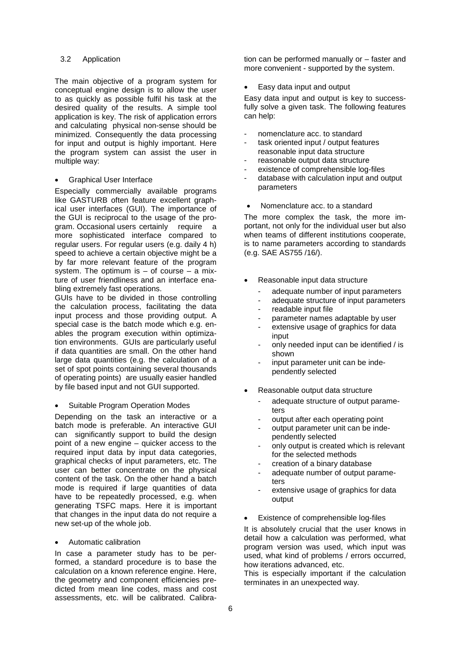#### 3.2 Application

The main objective of a program system for conceptual engine design is to allow the user to as quickly as possible fulfil his task at the desired quality of the results. A simple tool application is key. The risk of application errors and calculating physical non-sense should be minimized. Consequently the data processing for input and output is highly important. Here the program system can assist the user in multiple way:

#### • Graphical User Interface

Especially commercially available programs like GASTURB often feature excellent graphical user interfaces (GUI). The importance of the GUI is reciprocal to the usage of the program. Occasional users certainly require a more sophisticated interface compared to regular users. For regular users (e.g. daily 4 h) speed to achieve a certain objective might be a by far more relevant feature of the program system. The optimum is  $-$  of course  $-$  a mixture of user friendliness and an interface enabling extremely fast operations.

GUIs have to be divided in those controlling the calculation process, facilitating the data input process and those providing output. A special case is the batch mode which e.g. enables the program execution within optimization environments. GUIs are particularly useful if data quantities are small. On the other hand large data quantities (e.g. the calculation of a set of spot points containing several thousands of operating points) are usually easier handled by file based input and not GUI supported.

#### • Suitable Program Operation Modes

Depending on the task an interactive or a batch mode is preferable. An interactive GUI can significantly support to build the design point of a new engine – quicker access to the required input data by input data categories, graphical checks of input parameters, etc. The user can better concentrate on the physical content of the task. On the other hand a batch mode is required if large quantities of data have to be repeatedly processed, e.g. when generating TSFC maps. Here it is important that changes in the input data do not require a new set-up of the whole job.

#### • Automatic calibration

In case a parameter study has to be performed, a standard procedure is to base the calculation on a known reference engine. Here, the geometry and component efficiencies predicted from mean line codes, mass and cost assessments, etc. will be calibrated. Calibration can be performed manually or – faster and more convenient - supported by the system.

• Easy data input and output

Easy data input and output is key to successfully solve a given task. The following features can help:

- nomenclature acc. to standard
- task oriented input / output features reasonable input data structure
- reasonable output data structure
- existence of comprehensible log-files
- database with calculation input and output parameters
- Nomenclature acc. to a standard

The more complex the task, the more important, not only for the individual user but also when teams of different institutions cooperate, is to name parameters according to standards (e.g. SAE AS755 /16/).

- Reasonable input data structure
	- adequate number of input parameters
	- adequate structure of input parameters
	- readable input file
	- parameter names adaptable by user
	- extensive usage of graphics for data input
	- only needed input can be identified / is shown
	- input parameter unit can be independently selected
- Reasonable output data structure
	- adequate structure of output parameters
	- output after each operating point
	- output parameter unit can be independently selected
	- only output is created which is relevant for the selected methods
	- creation of a binary database
	- adequate number of output parameters
	- extensive usage of graphics for data output
- Existence of comprehensible log-files

It is absolutely crucial that the user knows in detail how a calculation was performed, what program version was used, which input was used, what kind of problems / errors occurred, how iterations advanced, etc.

This is especially important if the calculation terminates in an unexpected way.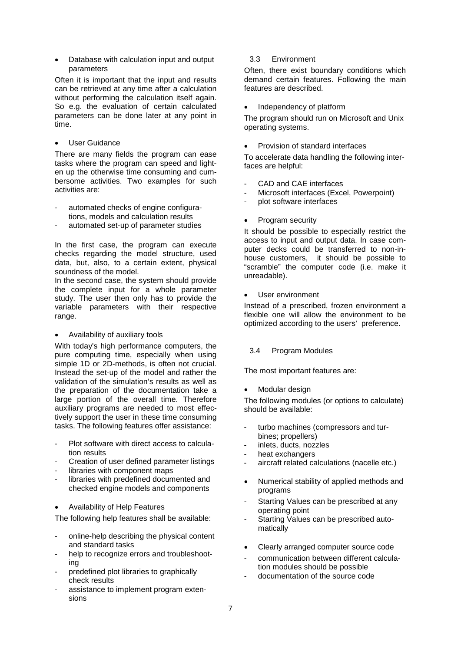• Database with calculation input and output parameters

Often it is important that the input and results can be retrieved at any time after a calculation without performing the calculation itself again. So e.g. the evaluation of certain calculated parameters can be done later at any point in time.

• User Guidance

There are many fields the program can ease tasks where the program can speed and lighten up the otherwise time consuming and cumbersome activities. Two examples for such activities are:

- automated checks of engine configurations, models and calculation results
- automated set-up of parameter studies

In the first case, the program can execute checks regarding the model structure, used data, but, also, to a certain extent, physical soundness of the model.

In the second case, the system should provide the complete input for a whole parameter study. The user then only has to provide the variable parameters with their respective range.

### • Availability of auxiliary tools

With today's high performance computers, the pure computing time, especially when using simple 1D or 2D-methods, is often not crucial. Instead the set-up of the model and rather the validation of the simulation's results as well as the preparation of the documentation take a large portion of the overall time. Therefore auxiliary programs are needed to most effectively support the user in these time consuming tasks. The following features offer assistance:

- Plot software with direct access to calculation results
- Creation of user defined parameter listings
- libraries with component maps
- libraries with predefined documented and checked engine models and components
- Availability of Help Features

The following help features shall be available:

- online-help describing the physical content and standard tasks
- help to recognize errors and troubleshooting
- predefined plot libraries to graphically check results
- assistance to implement program extensions

## 3.3 Environment

Often, there exist boundary conditions which demand certain features. Following the main features are described.

• Independency of platform

The program should run on Microsoft and Unix operating systems.

• Provision of standard interfaces

To accelerate data handling the following interfaces are helpful:

- CAD and CAE interfaces
- Microsoft interfaces (Excel, Powerpoint)
- plot software interfaces
- Program security

It should be possible to especially restrict the access to input and output data. In case computer decks could be transferred to non-inhouse customers, it should be possible to "scramble" the computer code (i.e. make it unreadable).

## User environment

Instead of a prescribed, frozen environment a flexible one will allow the environment to be optimized according to the users' preference.

## 3.4 Program Modules

The most important features are:

Modular design

The following modules (or options to calculate) should be available:

- turbo machines (compressors and turbines; propellers)
- inlets, ducts, nozzles
- heat exchangers
- aircraft related calculations (nacelle etc.)
- Numerical stability of applied methods and programs
- Starting Values can be prescribed at any operating point
- Starting Values can be prescribed automatically
- Clearly arranged computer source code
- communication between different calculation modules should be possible
- documentation of the source code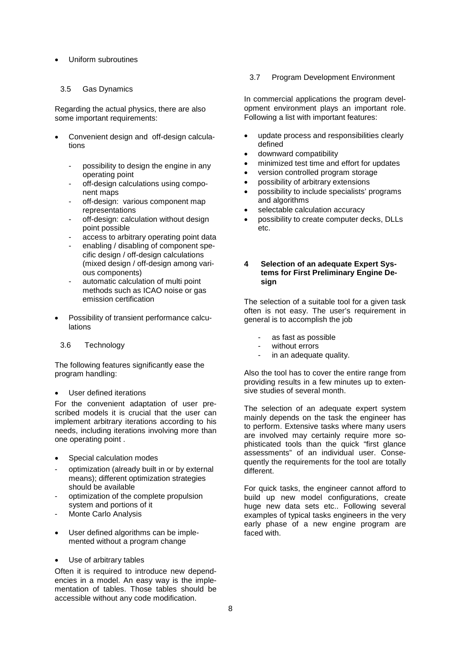• Uniform subroutines

#### 3.5 Gas Dynamics

Regarding the actual physics, there are also some important requirements:

- Convenient design and off-design calculations
	- possibility to design the engine in any operating point
	- off-design calculations using component maps
	- off-design: various component map representations
	- off-design: calculation without design point possible
	- access to arbitrary operating point data
	- enabling / disabling of component specific design / off-design calculations (mixed design / off-design among various components)
	- automatic calculation of multi point methods such as ICAO noise or gas emission certification
- Possibility of transient performance calculations
- 3.6 Technology

The following features significantly ease the program handling:

#### User defined iterations

For the convenient adaptation of user prescribed models it is crucial that the user can implement arbitrary iterations according to his needs, including iterations involving more than one operating point .

- Special calculation modes
- optimization (already built in or by external means); different optimization strategies should be available
- optimization of the complete propulsion system and portions of it
- Monte Carlo Analysis
- User defined algorithms can be implemented without a program change
- Use of arbitrary tables

Often it is required to introduce new dependencies in a model. An easy way is the implementation of tables. Those tables should be accessible without any code modification.

#### 3.7 Program Development Environment

In commercial applications the program development environment plays an important role. Following a list with important features:

- update process and responsibilities clearly defined
- downward compatibility
- minimized test time and effort for updates
- version controlled program storage
- possibility of arbitrary extensions
- possibility to include specialists' programs and algorithms
- selectable calculation accuracy
- possibility to create computer decks, DLLs etc.

#### **4 Selection of an adequate Expert Systems for First Preliminary Engine Design**

The selection of a suitable tool for a given task often is not easy. The user's requirement in general is to accomplish the job

- as fast as possible
- without errors
- in an adequate quality.

Also the tool has to cover the entire range from providing results in a few minutes up to extensive studies of several month.

The selection of an adequate expert system mainly depends on the task the engineer has to perform. Extensive tasks where many users are involved may certainly require more sophisticated tools than the quick "first glance assessments" of an individual user. Consequently the requirements for the tool are totally different.

For quick tasks, the engineer cannot afford to build up new model configurations, create huge new data sets etc.. Following several examples of typical tasks engineers in the very early phase of a new engine program are faced with.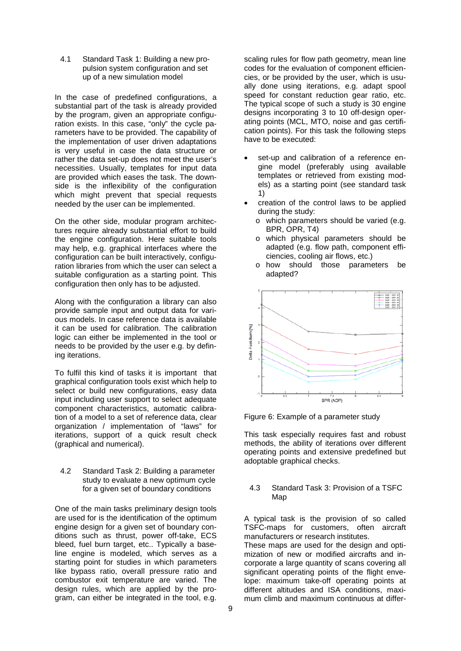4.1 Standard Task 1: Building a new propulsion system configuration and set up of a new simulation model

In the case of predefined configurations, a substantial part of the task is already provided by the program, given an appropriate configuration exists. In this case, "only" the cycle parameters have to be provided. The capability of the implementation of user driven adaptations is very useful in case the data structure or rather the data set-up does not meet the user's necessities. Usually, templates for input data are provided which eases the task. The downside is the inflexibility of the configuration which might prevent that special requests needed by the user can be implemented.

On the other side, modular program architectures require already substantial effort to build the engine configuration. Here suitable tools may help, e.g. graphical interfaces where the configuration can be built interactively, configuration libraries from which the user can select a suitable configuration as a starting point. This configuration then only has to be adjusted.

Along with the configuration a library can also provide sample input and output data for various models. In case reference data is available it can be used for calibration. The calibration logic can either be implemented in the tool or needs to be provided by the user e.g. by defining iterations.

To fulfil this kind of tasks it is important that graphical configuration tools exist which help to select or build new configurations, easy data input including user support to select adequate component characteristics, automatic calibration of a model to a set of reference data, clear organization / implementation of "laws" for iterations, support of a quick result check (graphical and numerical).

4.2 Standard Task 2: Building a parameter study to evaluate a new optimum cycle for a given set of boundary conditions

One of the main tasks preliminary design tools are used for is the identification of the optimum engine design for a given set of boundary conditions such as thrust, power off-take, ECS bleed, fuel burn target, etc.. Typically a baseline engine is modeled, which serves as a starting point for studies in which parameters like bypass ratio, overall pressure ratio and combustor exit temperature are varied. The design rules, which are applied by the program, can either be integrated in the tool, e.g.

scaling rules for flow path geometry, mean line codes for the evaluation of component efficiencies, or be provided by the user, which is usually done using iterations, e.g. adapt spool speed for constant reduction gear ratio, etc. The typical scope of such a study is 30 engine designs incorporating 3 to 10 off-design operating points (MCL, MTO, noise and gas certification points). For this task the following steps have to be executed:

- set-up and calibration of a reference engine model (preferably using available templates or retrieved from existing models) as a starting point (see standard task 1)
- creation of the control laws to be applied during the study:
	- o which parameters should be varied (e.g. BPR, OPR, T4)
	- o which physical parameters should be adapted (e.g. flow path, component efficiencies, cooling air flows, etc.)
	- o how should those parameters be adapted?



Figure 6: Example of a parameter study

This task especially requires fast and robust methods, the ability of iterations over different operating points and extensive predefined but adoptable graphical checks.

#### 4.3 Standard Task 3: Provision of a TSFC Map

A typical task is the provision of so called TSFC-maps for customers, often aircraft manufacturers or research institutes. These maps are used for the design and optimization of new or modified aircrafts and incorporate a large quantity of scans covering all significant operating points of the flight envelope: maximum take-off operating points at different altitudes and ISA conditions, maxi-

mum climb and maximum continuous at differ-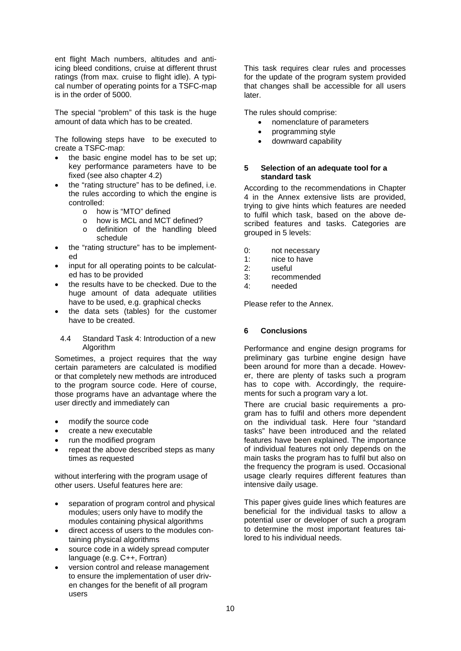ent flight Mach numbers, altitudes and antiicing bleed conditions, cruise at different thrust ratings (from max. cruise to flight idle). A typical number of operating points for a TSFC-map is in the order of 5000.

The special "problem" of this task is the huge amount of data which has to be created.

The following steps have to be executed to create a TSFC-map:

- the basic engine model has to be set up: key performance parameters have to be fixed (see also chapter 4.2)
- the "rating structure" has to be defined, i.e. the rules according to which the engine is controlled:
	- o how is "MTO" defined
	- o how is MCL and MCT defined?
	- o definition of the handling bleed schedule
- the "rating structure" has to be implemented
- input for all operating points to be calculated has to be provided
- the results have to be checked. Due to the huge amount of data adequate utilities have to be used, e.g. graphical checks
- the data sets (tables) for the customer have to be created.
	- 4.4 Standard Task 4: Introduction of a new Algorithm

Sometimes, a project requires that the way certain parameters are calculated is modified or that completely new methods are introduced to the program source code. Here of course, those programs have an advantage where the user directly and immediately can

- modify the source code
- create a new executable
- run the modified program
- repeat the above described steps as many times as requested

without interfering with the program usage of other users. Useful features here are:

- separation of program control and physical modules; users only have to modify the modules containing physical algorithms
- direct access of users to the modules containing physical algorithms
- source code in a widely spread computer language (e.g. C++, Fortran)
- version control and release management to ensure the implementation of user driven changes for the benefit of all program users

This task requires clear rules and processes for the update of the program system provided that changes shall be accessible for all users later.

The rules should comprise:

- nomenclature of parameters
- programming style
- downward capability

### **5 Selection of an adequate tool for a standard task**

According to the recommendations in Chapter 4 in the Annex extensive lists are provided, trying to give hints which features are needed to fulfil which task, based on the above described features and tasks. Categories are grouped in 5 levels:

- 0: not necessary
- 1:  $\frac{1}{2}$  nice to have
- useful
- 3: recommended
- 4: needed

Please refer to the Annex.

## **6 Conclusions**

Performance and engine design programs for preliminary gas turbine engine design have been around for more than a decade. However, there are plenty of tasks such a program has to cope with. Accordingly, the requirements for such a program vary a lot.

There are crucial basic requirements a program has to fulfil and others more dependent on the individual task. Here four "standard tasks" have been introduced and the related features have been explained. The importance of individual features not only depends on the main tasks the program has to fulfil but also on the frequency the program is used. Occasional usage clearly requires different features than intensive daily usage.

This paper gives guide lines which features are beneficial for the individual tasks to allow a potential user or developer of such a program to determine the most important features tailored to his individual needs.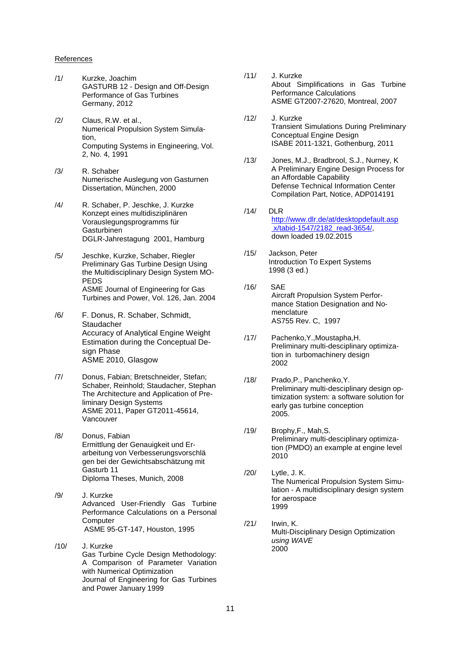#### References

- /1/ Kurzke, Joachim GASTURB 12 - Design and Off-Design Performance of Gas Turbines Germany, 2012
- /2/ Claus, R.W. et al., Numerical Propulsion System Simulation, Computing Systems in Engineering, Vol. 2, No. 4, 1991
- /3/ R. Schaber Numerische Auslegung von Gasturnen Dissertation, München, 2000
- /4/ R. Schaber, P. Jeschke, J. Kurzke Konzept eines multidisziplinären Vorauslegungsprogramms für Gasturbinen DGLR-Jahrestagung 2001, Hamburg
- /5/ Jeschke, Kurzke, Schaber, Riegler Preliminary Gas Turbine Design Using the Multidisciplinary Design System MO-PEDS ASME Journal of Engineering for Gas Turbines and Power, Vol. 126, Jan. 2004
- /6/ F. Donus, R. Schaber, Schmidt, Staudacher Accuracy of Analytical Engine Weight Estimation during the Conceptual Design Phase ASME 2010, Glasgow
- /7/ Donus, Fabian; Bretschneider, Stefan; Schaber, Reinhold; Staudacher, Stephan The Architecture and Application of Preliminary Design Systems ASME 2011, Paper GT2011-45614, Vancouver
- /8/ Donus, Fabian Ermittlung der Genauigkeit und Erarbeitung von Verbesserungsvorschlä gen bei der Gewichtsabschätzung mit Gasturb 11 Diploma Theses, Munich, 2008
- /9/ J. Kurzke Advanced User-Friendly Gas Turbine Performance Calculations on a Personal **Computer** ASME 95-GT-147, Houston, 1995
- /10/ J. Kurzke Gas Turbine Cycle Design Methodology: A Comparison of Parameter Variation with Numerical Optimization Journal of Engineering for Gas Turbines and Power January 1999
- /11/ J. Kurzke About Simplifications in Gas Turbine Performance Calculations ASME GT2007-27620, Montreal, 2007
- /12/ J. Kurzke Transient Simulations During Preliminary Conceptual Engine Design ISABE 2011-1321, Gothenburg, 2011
- /13/ Jones, M.J., Bradbrool, S.J., Nurney, K A Preliminary Engine Design Process for an Affordable Capability Defense Technical Information Center Compilation Part, Notice, ADP014191
- /14/ DLR [http://www.dlr.de/at/desktopdefault.asp](http://www.dlr.de/at/desktopdefault.asp%20x/tabid-1547/2182_read-3654/) [x/tabid-1547/2182\\_read-3654/,](http://www.dlr.de/at/desktopdefault.asp%20x/tabid-1547/2182_read-3654/) down loaded 19.02.2015
- /15/ Jackson, Peter **Introduction To Expert Systems** 1998 (3 ed.)
- /16/ SAE Aircraft Propulsion System Perfor mance Station Designation and Nomenclature AS755 Rev. C, 1997
- /17/ Pachenko,Y.,Moustapha,H. Preliminary multi-desciplinary optimization in turbomachinery design 2002
- /18/ Prado,P., Panchenko,Y. Preliminary multi-desciplinary design optimization system: a software solution for early gas turbine conception 2005.
- /19/ Brophy,F., Mah,S. Preliminary multi-desciplinary optimization (PMDO) an example at engine level 2010
- /20/ Lytle, J. K. The Numerical Propulsion System Simulation - A multidisciplinary design system for aerospace 1999
- /21/ Irwin, K. Multi-Disciplinary Design Optimization *using WAVE* 2000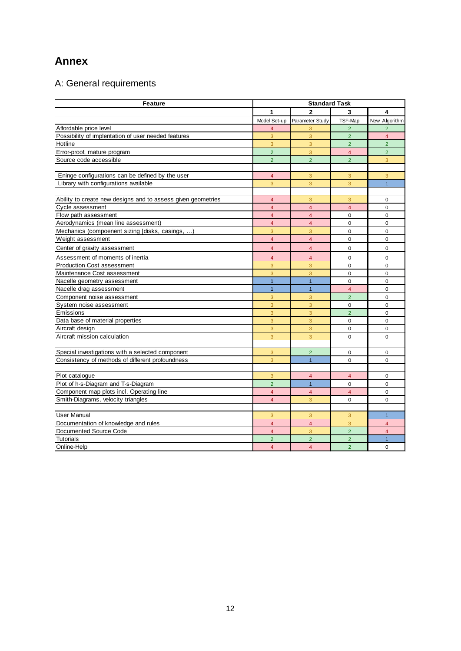## **Annex**

# A: General requirements

| <b>Feature</b>                                               | <b>Standard Task</b> |                         |                |                |
|--------------------------------------------------------------|----------------------|-------------------------|----------------|----------------|
|                                                              | 1                    | $\mathbf{2}$            | 3              | 4              |
|                                                              | Model Set-up         | Parameter Study         | TSF-Map        | New Algorithm  |
| Affordable price level                                       | $\overline{4}$       | 3                       | $\overline{2}$ | $\overline{2}$ |
| Possibility of implentation of user needed features          | 3                    | 3                       | $\overline{2}$ | $\overline{4}$ |
| Hotline                                                      | 3                    | 3                       | $\overline{2}$ | $\overline{2}$ |
| Error-proof, mature program                                  | $\overline{2}$       | 3                       | $\overline{4}$ | $\overline{2}$ |
| Source code accessible                                       | $\overline{2}$       | $\overline{2}$          | $\overline{2}$ | 3              |
| Eninge configurations can be defined by the user             | $\overline{4}$       | 3                       | 3              | 3              |
| Library with configurations available                        | 3                    | 3                       | 3              | $\overline{1}$ |
| Ability to create new designs and to assess given geometries | $\overline{4}$       | 3                       | 3              | $\mathbf 0$    |
| Cycle assessment                                             | $\overline{4}$       | $\overline{4}$          | $\overline{4}$ | $\mathbf 0$    |
| Flow path assessment                                         | $\overline{4}$       | $\overline{4}$          | 0              | 0              |
| Aerodynamics (mean line assessment)                          | $\overline{4}$       | $\overline{4}$          | $\Omega$       | $\Omega$       |
| Mechanics (compoenent sizing [disks, casings, )              | 3                    | 3                       | $\mathbf 0$    | 0              |
| Weight assessment                                            | $\overline{4}$       | $\overline{4}$          | $\mathbf 0$    | $\overline{0}$ |
| Center of gravity assessment                                 | $\overline{4}$       | $\overline{4}$          | $\mathbf 0$    | 0              |
| Assessment of moments of inertia                             | $\overline{4}$       | $\overline{4}$          | $\mathbf 0$    | 0              |
| <b>Production Cost assessment</b>                            | 3                    | 3                       | $\mathbf 0$    | $\mathbf 0$    |
| Maintenance Cost assessment                                  | 3                    | 3                       | $\pmb{0}$      | 0              |
| Nacelle geometry assessment                                  | $\overline{1}$       | $\overline{1}$          | $\Omega$       | $\overline{0}$ |
| Nacelle drag assessment                                      | $\mathbf{1}$         | $\overline{1}$          | $\overline{4}$ | $\pmb{0}$      |
| Component noise assessment                                   | 3                    | 3                       | $\overline{2}$ | 0              |
| System noise assessment                                      | 3                    | 3                       | $\mathbf 0$    | $\overline{0}$ |
| Emissions                                                    | 3                    | $\overline{3}$          | $\overline{2}$ | $\mathbf 0$    |
| Data base of material properties                             | 3                    | 3                       | $\pmb{0}$      | $\pmb{0}$      |
| Aircraft design                                              | 3                    | 3                       | 0              | 0              |
| Aircraft mission calculation                                 | 3                    | 3                       | $\Omega$       | $\Omega$       |
| Special investigations with a selected component             | 3                    | $\overline{2}$          | $\mathbf 0$    | 0              |
| Consistency of methods of different profoundness             | $\overline{3}$       | $\overline{1}$          | $\Omega$       | 0              |
|                                                              |                      |                         |                |                |
| Plot catalogue                                               | 3                    | $\overline{\mathbf{4}}$ | $\overline{4}$ | 0              |
| Plot of h-s-Diagram and T-s-Diagram                          | $\overline{2}$       | $\overline{1}$          | $\Omega$       | $\Omega$       |
| Component map plots incl. Operating line                     | $\overline{4}$       | $\overline{4}$          | $\overline{4}$ | 0              |
| Smith-Diagrams, velocity triangles                           | $\overline{4}$       | 3                       | $\mathbf 0$    | 0              |
|                                                              |                      |                         |                |                |
| <b>User Manual</b>                                           | 3                    | 3                       | 3              | $\mathbf{1}$   |
| Documentation of knowledge and rules                         | $\overline{4}$       | $\overline{4}$          | 3              | $\overline{4}$ |
| Documented Source Code                                       | $\overline{4}$       | 3                       | $\overline{2}$ | $\overline{4}$ |
| <b>Tutorials</b>                                             | $\overline{2}$       | $\overline{2}$          | $\overline{2}$ | $\mathbf{1}$   |
| Online-Help                                                  | $\overline{4}$       | $\overline{4}$          | $\overline{2}$ | 0              |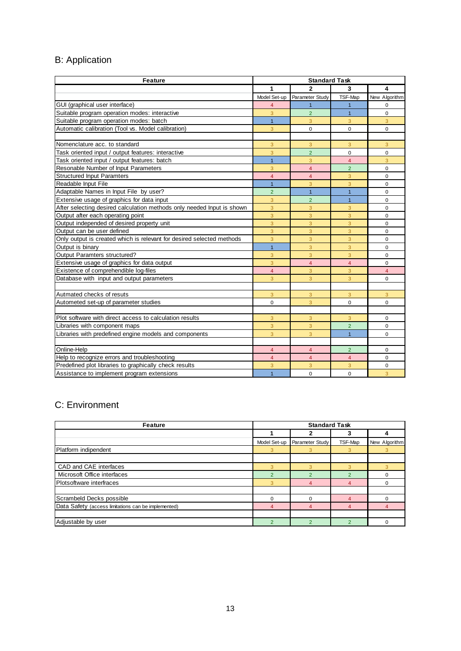# B: Application

| <b>Feature</b>                                                         | <b>Standard Task</b> |                 |                |                |
|------------------------------------------------------------------------|----------------------|-----------------|----------------|----------------|
|                                                                        | 1                    | $\overline{2}$  | 3              | 4              |
|                                                                        | Model Set-up         | Parameter Study | TSF-Map        | New Algorithm  |
| GUI (graphical user interface)                                         | $\overline{4}$       | $\mathbf{1}$    | $\overline{1}$ | 0              |
| Suitable program operation modes: interactive                          | 3                    | $\overline{2}$  | $\mathbf{1}$   | $\mathbf 0$    |
| Suitable program operation modes: batch                                | 1                    | 3               | 3              | 3              |
| Automatic calibration (Tool vs. Model calibration)                     | 3                    | $\Omega$        | $\mathbf 0$    | $\Omega$       |
|                                                                        |                      |                 |                |                |
| Nomenclature acc. to standard                                          | 3                    | 3               | 3              | 3              |
| Task oriented input / output features: interactive                     | 3                    | $\overline{2}$  | $\mathbf 0$    | $\mathbf 0$    |
| Task oriented input / output features: batch                           | $\mathbf{1}$         | 3               | $\overline{4}$ | 3              |
| Resonable Number of Input Parameters                                   | 3                    | $\overline{4}$  | $\overline{2}$ | $\Omega$       |
| <b>Structured Input Paramters</b>                                      | $\overline{4}$       | $\overline{4}$  | 3              | $\mathbf 0$    |
| Readable Input File                                                    | $\mathbf{1}$         | 3               | 3              | $\mathbf 0$    |
| Adaptable Names in Input File by user?                                 | $\overline{2}$       | $\mathbf{1}$    | $\mathbf{1}$   | $\mathbf 0$    |
| Extensive usage of graphics for data input                             | $\overline{3}$       | $\overline{2}$  | $\overline{1}$ | $\Omega$       |
| After selecting desired calculation methods only needed Input is shown | 3                    | 3               | 3              | $\mathbf 0$    |
| Output after each operating point                                      | 3                    | 3               | 3              | $\mathbf 0$    |
| Output independed of desired property unit                             | 3                    | 3               | $\overline{3}$ | $\mathbf 0$    |
| Output can be user defined                                             | 3                    | 3               | 3              | $\Omega$       |
| Only output is created which is relevant for desired selected methods  | 3                    | $\overline{3}$  | $\overline{3}$ | $\Omega$       |
| Output is binary                                                       | $\overline{1}$       | 3               | 3              | $\Omega$       |
| <b>Output Paramters structured?</b>                                    | 3                    | 3               | 3              | $\Omega$       |
| Extensive usage of graphics for data output                            | 3                    | $\overline{4}$  | $\overline{4}$ | $\Omega$       |
| Existence of comprehendible log-files                                  | $\overline{4}$       | 3               | 3              | $\overline{4}$ |
| Database with input and output parameters                              | 3                    | 3               | 3              | $\mathbf 0$    |
|                                                                        |                      |                 |                |                |
| Autmated checks of resuts                                              | 3                    | 3               | 3              | 3              |
| Autometed set-up of parameter studies                                  | 0                    | 3               | $\mathbf 0$    | $\mathbf 0$    |
|                                                                        |                      |                 |                |                |
| Plot software with direct access to calculation results                | $\mathbf{3}$         | 3               | 3              | $\Omega$       |
| Libraries with component maps                                          | 3                    | 3               | $\overline{2}$ | $\mathbf 0$    |
| Libraries with predefined engine models and components                 | 3                    | $\overline{3}$  | $\mathbf{1}$   | $\Omega$       |
|                                                                        |                      |                 |                |                |
| Online-Help                                                            | $\overline{4}$       | $\overline{4}$  | $\overline{2}$ | $\Omega$       |
| Help to recognize errors and troubleshooting                           | $\overline{4}$       | $\overline{4}$  | $\overline{4}$ | $\Omega$       |
| Predefined plot libraries to graphically check results                 | 3                    | 3               | 3              | $\mathbf 0$    |
| Assistance to implement program extensions                             | $\overline{1}$       | $\mathbf 0$     | $\Omega$       | 3              |

## C: Environment

| Feature                                             | <b>Standard Task</b> |                 |                |               |
|-----------------------------------------------------|----------------------|-----------------|----------------|---------------|
|                                                     |                      | 2               | 3              | 4             |
|                                                     | Model Set-up         | Parameter Study | TSF-Map        | New Algorithm |
| Platform indipendent                                | 3                    | 3               | 3              | 3             |
|                                                     |                      |                 |                |               |
| CAD and CAE interfaces                              | 3                    | 3               | 3              | 3             |
| Microsoft Office interfaces                         | $\overline{2}$       | $\mathcal{D}$   | $\overline{2}$ | $\Omega$      |
| Plotsoftware interfraces                            | 3                    | 4               | 4              | $\Omega$      |
|                                                     |                      |                 |                |               |
| Scrambeld Decks possible                            | $\Omega$             | $\Omega$        | 4              | $\Omega$      |
| Data Safety (access limitations can be implemented) | 4                    | 4               | 4              | 4             |
|                                                     |                      |                 |                |               |
| Adjustable by user                                  | $\overline{2}$       | $\overline{2}$  | $\overline{2}$ | $\Omega$      |